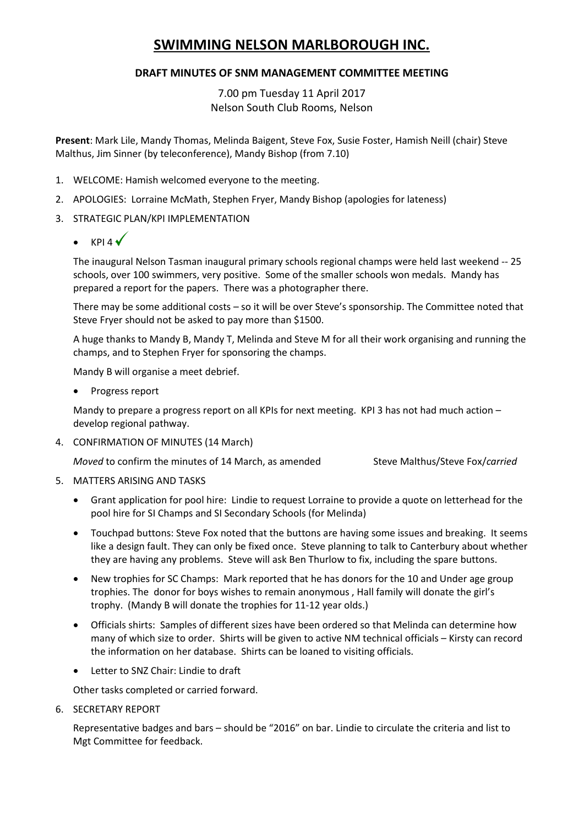# **SWIMMING NELSON MARLBOROUGH INC.**

# **DRAFT MINUTES OF SNM MANAGEMENT COMMITTEE MEETING**

7.00 pm Tuesday 11 April 2017 Nelson South Club Rooms, Nelson

**Present**: Mark Lile, Mandy Thomas, Melinda Baigent, Steve Fox, Susie Foster, Hamish Neill (chair) Steve Malthus, Jim Sinner (by teleconference), Mandy Bishop (from 7.10)

- 1. WELCOME: Hamish welcomed everyone to the meeting.
- 2. APOLOGIES: Lorraine McMath, Stephen Fryer, Mandy Bishop (apologies for lateness)
- 3. STRATEGIC PLAN/KPI IMPLEMENTATION
	- $\bullet$  KPI4 $\checkmark$

The inaugural Nelson Tasman inaugural primary schools regional champs were held last weekend -- 25 schools, over 100 swimmers, very positive. Some of the smaller schools won medals. Mandy has prepared a report for the papers. There was a photographer there.

There may be some additional costs – so it will be over Steve's sponsorship. The Committee noted that Steve Fryer should not be asked to pay more than \$1500.

A huge thanks to Mandy B, Mandy T, Melinda and Steve M for all their work organising and running the champs, and to Stephen Fryer for sponsoring the champs.

Mandy B will organise a meet debrief.

• Progress report

Mandy to prepare a progress report on all KPIs for next meeting. KPI 3 has not had much action – develop regional pathway.

4. CONFIRMATION OF MINUTES (14 March)

*Moved* to confirm the minutes of 14 March, as amended Steve Malthus/Steve Fox/*carried* 

- 5. MATTERS ARISING AND TASKS
	- Grant application for pool hire: Lindie to request Lorraine to provide a quote on letterhead for the pool hire for SI Champs and SI Secondary Schools (for Melinda)
	- Touchpad buttons: Steve Fox noted that the buttons are having some issues and breaking. It seems like a design fault. They can only be fixed once. Steve planning to talk to Canterbury about whether they are having any problems. Steve will ask Ben Thurlow to fix, including the spare buttons.
	- New trophies for SC Champs: Mark reported that he has donors for the 10 and Under age group trophies. The donor for boys wishes to remain anonymous , Hall family will donate the girl's trophy. (Mandy B will donate the trophies for 11-12 year olds.)
	- Officials shirts: Samples of different sizes have been ordered so that Melinda can determine how many of which size to order. Shirts will be given to active NM technical officials – Kirsty can record the information on her database. Shirts can be loaned to visiting officials.
	- Letter to SNZ Chair: Lindie to draft

Other tasks completed or carried forward.

6. SECRETARY REPORT

Representative badges and bars – should be "2016" on bar. Lindie to circulate the criteria and list to Mgt Committee for feedback.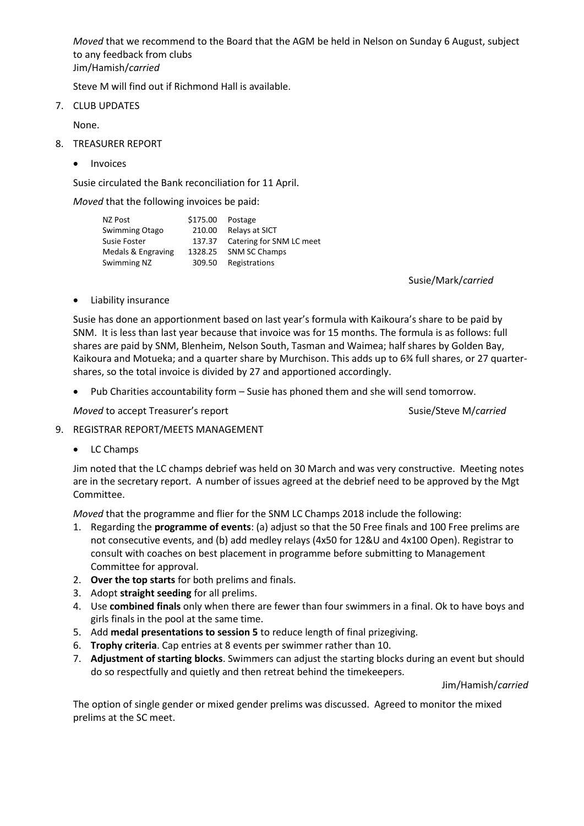*Moved* that we recommend to the Board that the AGM be held in Nelson on Sunday 6 August, subject to any feedback from clubs Jim/Hamish/*carried*

Steve M will find out if Richmond Hall is available.

7. CLUB UPDATES

None.

- 8. TREASURER REPORT
	- **•** Invoices

Susie circulated the Bank reconciliation for 11 April.

*Moved* that the following invoices be paid:

| NZ Post            | \$175.00 | Postage                         |
|--------------------|----------|---------------------------------|
| Swimming Otago     | 210.00   | Relays at SICT                  |
| Susie Foster       |          | 137.37 Catering for SNM LC meet |
| Medals & Engraving | 1328.25  | <b>SNM SC Champs</b>            |
| Swimming NZ        | 309.50   | Registrations                   |

Susie/Mark/*carried*

Liability insurance

Susie has done an apportionment based on last year's formula with Kaikoura's share to be paid by SNM. It is less than last year because that invoice was for 15 months. The formula is as follows: full shares are paid by SNM, Blenheim, Nelson South, Tasman and Waimea; half shares by Golden Bay, Kaikoura and Motueka; and a quarter share by Murchison. This adds up to 6¾ full shares, or 27 quartershares, so the total invoice is divided by 27 and apportioned accordingly.

Pub Charities accountability form – Susie has phoned them and she will send tomorrow.

*Moved* to accept Treasurer's report Susie/Steve M/*carried* Susie/Steve M/*carried* 

- 9. REGISTRAR REPORT/MEETS MANAGEMENT
	- LC Champs

Jim noted that the LC champs debrief was held on 30 March and was very constructive. Meeting notes are in the secretary report. A number of issues agreed at the debrief need to be approved by the Mgt Committee.

*Moved* that the programme and flier for the SNM LC Champs 2018 include the following:

- 1. Regarding the **programme of events**: (a) adjust so that the 50 Free finals and 100 Free prelims are not consecutive events, and (b) add medley relays (4x50 for 12&U and 4x100 Open). Registrar to consult with coaches on best placement in programme before submitting to Management Committee for approval.
- 2. **Over the top starts** for both prelims and finals.
- 3. Adopt **straight seeding** for all prelims.
- 4. Use **combined finals** only when there are fewer than four swimmers in a final. Ok to have boys and girls finals in the pool at the same time.
- 5. Add **medal presentations to session 5** to reduce length of final prizegiving.
- 6. **Trophy criteria**. Cap entries at 8 events per swimmer rather than 10.
- 7. **Adjustment of starting blocks**. Swimmers can adjust the starting blocks during an event but should do so respectfully and quietly and then retreat behind the timekeepers.

Jim/Hamish/*carried*

The option of single gender or mixed gender prelims was discussed. Agreed to monitor the mixed prelims at the SC meet.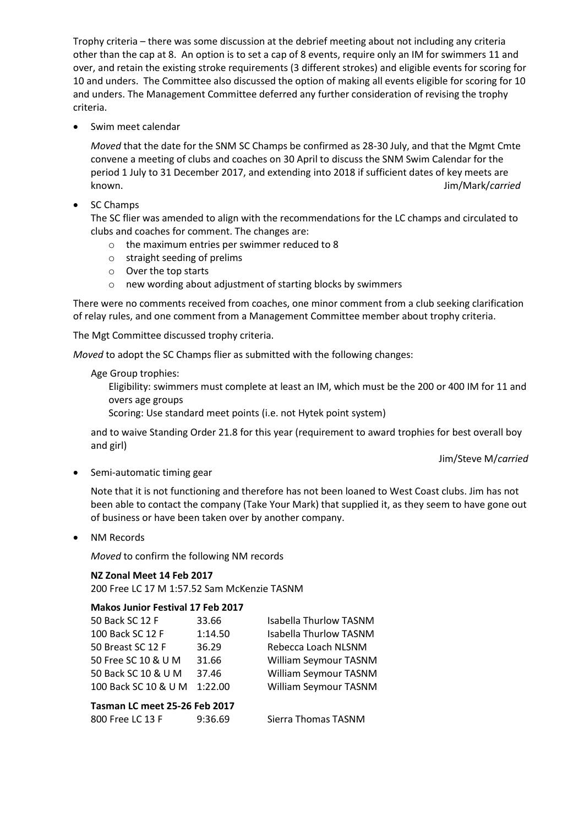Trophy criteria – there was some discussion at the debrief meeting about not including any criteria other than the cap at 8. An option is to set a cap of 8 events, require only an IM for swimmers 11 and over, and retain the existing stroke requirements (3 different strokes) and eligible events for scoring for 10 and unders. The Committee also discussed the option of making all events eligible for scoring for 10 and unders. The Management Committee deferred any further consideration of revising the trophy criteria.

• Swim meet calendar

*Moved* that the date for the SNM SC Champs be confirmed as 28-30 July, and that the Mgmt Cmte convene a meeting of clubs and coaches on 30 April to discuss the SNM Swim Calendar for the period 1 July to 31 December 2017, and extending into 2018 if sufficient dates of key meets are known. Jim/Mark/*carried*

# • SC Champs

The SC flier was amended to align with the recommendations for the LC champs and circulated to clubs and coaches for comment. The changes are:

- o the maximum entries per swimmer reduced to 8
- o straight seeding of prelims
- o Over the top starts
- o new wording about adjustment of starting blocks by swimmers

There were no comments received from coaches, one minor comment from a club seeking clarification of relay rules, and one comment from a Management Committee member about trophy criteria.

The Mgt Committee discussed trophy criteria.

*Moved* to adopt the SC Champs flier as submitted with the following changes:

### Age Group trophies:

Eligibility: swimmers must complete at least an IM, which must be the 200 or 400 IM for 11 and overs age groups

Scoring: Use standard meet points (i.e. not Hytek point system)

and to waive Standing Order 21.8 for this year (requirement to award trophies for best overall boy and girl)

#### Jim/Steve M/*carried*

• Semi-automatic timing gear

Note that it is not functioning and therefore has not been loaned to West Coast clubs. Jim has not been able to contact the company (Take Your Mark) that supplied it, as they seem to have gone out of business or have been taken over by another company.

NM Records

*Moved* to confirm the following NM records

#### **NZ Zonal Meet 14 Feb 2017**

200 Free LC 17 M 1:57.52 Sam McKenzie TASNM

## **Makos Junior Festival 17 Feb 2017**

| 50 Back SC 12 F               | 33.66   | <b>Isabella Thurlow TASNM</b> |  |  |
|-------------------------------|---------|-------------------------------|--|--|
| 100 Back SC 12 F              | 1:14.50 | <b>Isabella Thurlow TASNM</b> |  |  |
| 50 Breast SC 12 F             | 36.29   | Rebecca Loach NLSNM           |  |  |
| 50 Free SC 10 & U M           | 31.66   | William Seymour TASNM         |  |  |
| 50 Back SC 10 & U M           | 37.46   | William Seymour TASNM         |  |  |
| 100 Back SC 10 & U M          | 1:22.00 | William Seymour TASNM         |  |  |
| Tasman LC meet 25-26 Feb 2017 |         |                               |  |  |
| 800 Free LC 13 F              | 9:36.69 | Sierra Thomas TASNM           |  |  |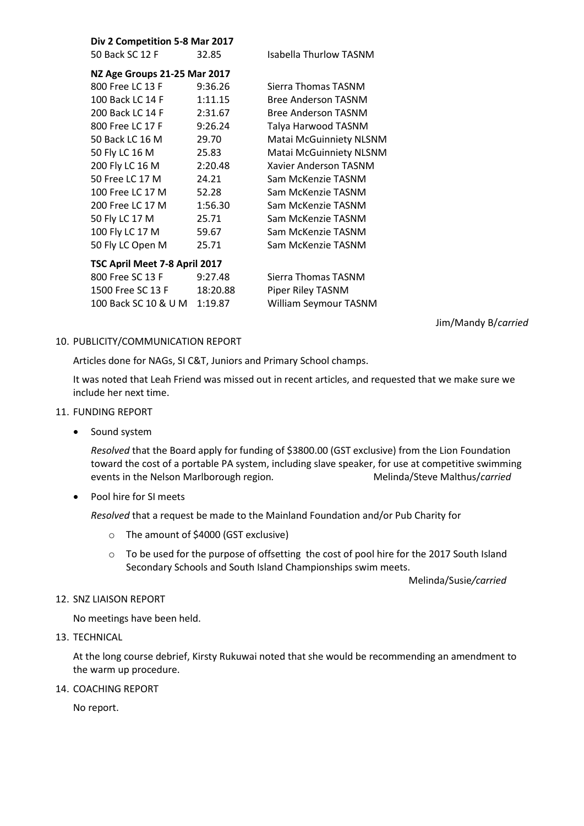| Div 2 Competition 5-8 Mar 2017 |  |
|--------------------------------|--|
|--------------------------------|--|

50 Back SC 12 F 32.85 Isabella Thurlow TASNM

| NZ Age Groups 21-25 Mar 2017  |          |                                |  |  |
|-------------------------------|----------|--------------------------------|--|--|
| 800 Free LC 13 F              | 9:36.26  | Sierra Thomas TASNM            |  |  |
| 100 Back LC 14 F              | 1:11.15  | <b>Bree Anderson TASNM</b>     |  |  |
| 200 Back LC 14 F              | 2:31.67  | <b>Bree Anderson TASNM</b>     |  |  |
| 800 Free LC 17 F              | 9:26.24  | Talya Harwood TASNM            |  |  |
| 50 Back LC 16 M               | 29.70    | <b>Matai McGuinniety NLSNM</b> |  |  |
| 50 Fly LC 16 M                | 25.83    | <b>Matai McGuinniety NLSNM</b> |  |  |
| 200 Fly LC 16 M               | 2:20.48  | Xavier Anderson TASNM          |  |  |
| 50 Free LC 17 M               | 24.21    | Sam McKenzie TASNM             |  |  |
| 100 Free LC 17 M              | 52.28    | Sam McKenzie TASNM             |  |  |
| 200 Free LC 17 M              | 1:56.30  | Sam McKenzie TASNM             |  |  |
| 50 Fly LC 17 M                | 25.71    | Sam McKenzie TASNM             |  |  |
| 100 Fly LC 17 M               | 59.67    | Sam McKenzie TASNM             |  |  |
| 50 Fly LC Open M              | 25.71    | Sam McKenzie TASNM             |  |  |
| TSC April Meet 7-8 April 2017 |          |                                |  |  |
| 800 Free SC 13 F              | 9:27.48  | Sierra Thomas TASNM            |  |  |
| 1500 Free SC 13 F             | 18:20.88 | Piper Riley TASNM              |  |  |
| 100 Back SC 10 & U M          | 1:19.87  | William Seymour TASNM          |  |  |

Jim/Mandy B/*carried*

## 10. PUBLICITY/COMMUNICATION REPORT

Articles done for NAGs, SI C&T, Juniors and Primary School champs.

It was noted that Leah Friend was missed out in recent articles, and requested that we make sure we include her next time.

- 11. FUNDING REPORT
	- Sound system

*Resolved* that the Board apply for funding of \$3800.00 (GST exclusive) from the Lion Foundation toward the cost of a portable PA system, including slave speaker, for use at competitive swimming events in the Nelson Marlborough region. **Melinda/Steve Malthus/carried** 

Pool hire for SI meets

*Resolved* that a request be made to the Mainland Foundation and/or Pub Charity for

- o The amount of \$4000 (GST exclusive)
- o To be used for the purpose of offsetting the cost of pool hire for the 2017 South Island Secondary Schools and South Island Championships swim meets.

Melinda/Susie*/carried*

12. SNZ LIAISON REPORT

No meetings have been held.

13. TECHNICAL

At the long course debrief, Kirsty Rukuwai noted that she would be recommending an amendment to the warm up procedure.

14. COACHING REPORT

No report.